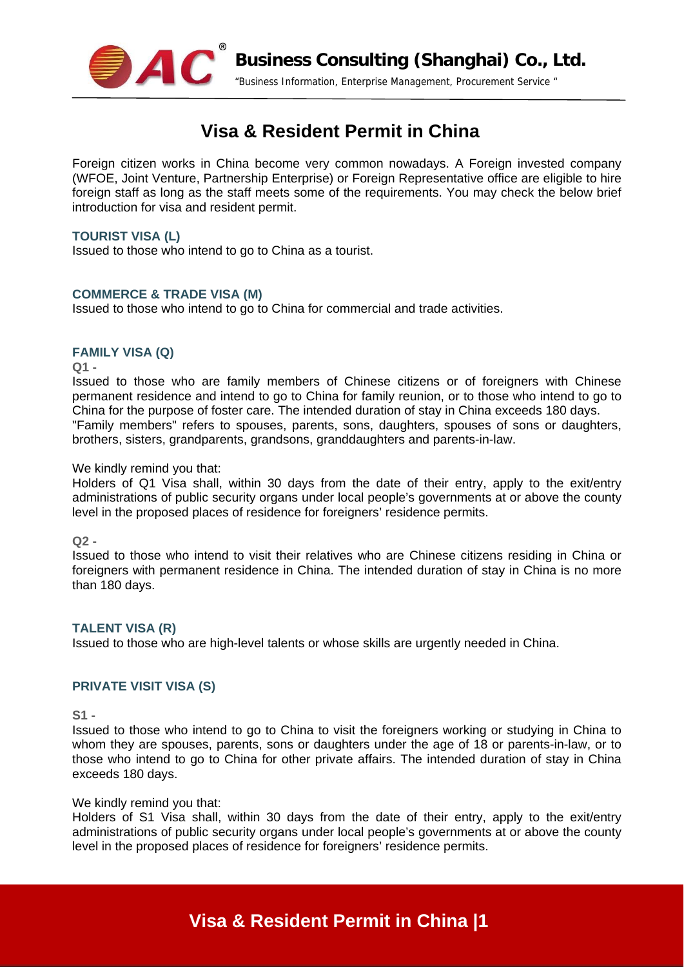

# **Visa & Resident Permit in China**

Foreign citizen works in China become very common nowadays. A Foreign invested company (WFOE, Joint Venture, Partnership Enterprise) or Foreign Representative office are eligible to hire foreign staff as long as the staff meets some of the requirements. You may check the below brief introduction for visa and resident permit.

## **TOURIST VISA (L)**

Issued to those who intend to go to China as a tourist.

## **COMMERCE & TRADE VISA (M)**

Issued to those who intend to go to China for commercial and trade activities.

# **FAMILY VISA (Q)**

**Q1 -**

Issued to those who are family members of Chinese citizens or of foreigners with Chinese permanent residence and intend to go to China for family reunion, or to those who intend to go to China for the purpose of foster care. The intended duration of stay in China exceeds 180 days. "Family members" refers to spouses, parents, sons, daughters, spouses of sons or daughters, brothers, sisters, grandparents, grandsons, granddaughters and parents-in-law.

### We kindly remind you that:

Holders of Q1 Visa shall, within 30 days from the date of their entry, apply to the exit/entry administrations of public security organs under local people's governments at or above the county level in the proposed places of residence for foreigners' residence permits.

**Q2 -** 

Issued to those who intend to visit their relatives who are Chinese citizens residing in China or foreigners with permanent residence in China. The intended duration of stay in China is no more than 180 days.

# **TALENT VISA (R)**

Issued to those who are high-level talents or whose skills are urgently needed in China.

# **PRIVATE VISIT VISA (S)**

**S1 -**

Issued to those who intend to go to China to visit the foreigners working or studying in China to whom they are spouses, parents, sons or daughters under the age of 18 or parents-in-law, or to those who intend to go to China for other private affairs. The intended duration of stay in China exceeds 180 days.

### We kindly remind you that:

Holders of S1 Visa shall, within 30 days from the date of their entry, apply to the exit/entry administrations of public security organs under local people's governments at or above the county level in the proposed places of residence for foreigners' residence permits.

# **Visa & Resident Permit in China |1**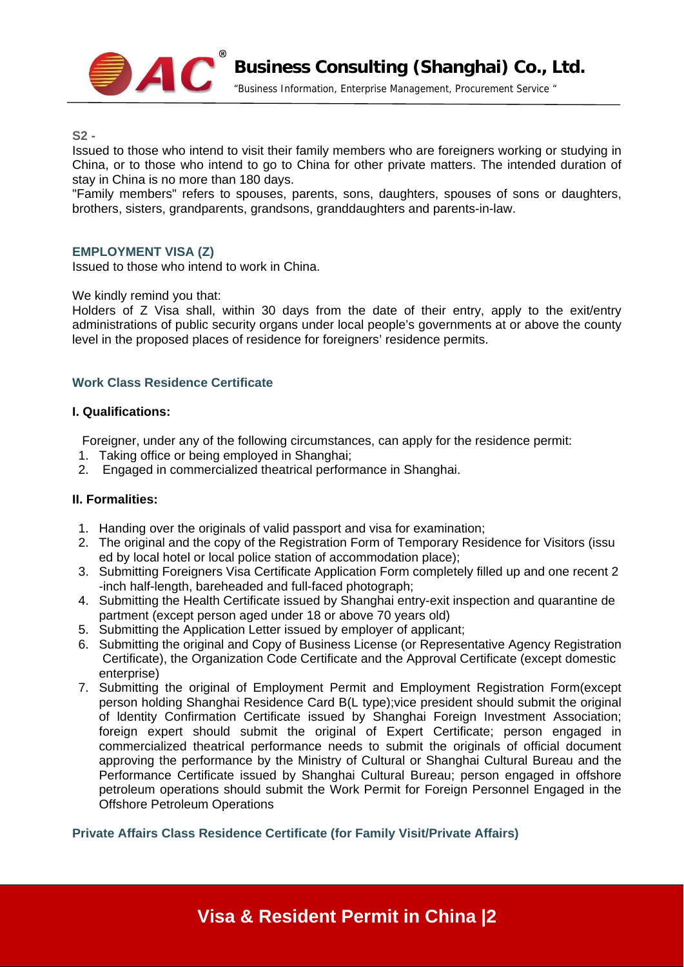

"Business Information, Enterprise Management, Procurement Service "

**S2 -**

Issued to those who intend to visit their family members who are foreigners working or studying in China, or to those who intend to go to China for other private matters. The intended duration of stay in China is no more than 180 days.

"Family members" refers to spouses, parents, sons, daughters, spouses of sons or daughters, brothers, sisters, grandparents, grandsons, granddaughters and parents-in-law.

## **EMPLOYMENT VISA (Z)**

Issued to those who intend to work in China.

### We kindly remind you that:

Holders of Z Visa shall, within 30 days from the date of their entry, apply to the exit/entry administrations of public security organs under local people's governments at or above the county level in the proposed places of residence for foreigners' residence permits.

## **Work Class Residence Certificate**

#### **I. Qualifications:**

Foreigner, under any of the following circumstances, can apply for the residence permit:

- 1. Taking office or being employed in Shanghai;
- 2. Engaged in commercialized theatrical performance in Shanghai.

### **II. Formalities:**

- 1. Handing over the originals of valid passport and visa for examination;
- 2. The original and the copy of the Registration Form of Temporary Residence for Visitors (issu ed by local hotel or local police station of accommodation place);
- 3. Submitting Foreigners Visa Certificate Application Form completely filled up and one recent 2 -inch half-length, bareheaded and full-faced photograph;
- 4. Submitting the Health Certificate issued by Shanghai entry-exit inspection and quarantine de partment (except person aged under 18 or above 70 years old)
- 5. Submitting the Application Letter issued by employer of applicant;
- 6. Submitting the original and Copy of Business License (or Representative Agency Registration Certificate), the Organization Code Certificate and the Approval Certificate (except domestic enterprise)
- 7. Submitting the original of Employment Permit and Employment Registration Form(except person holding Shanghai Residence Card B(L type);vice president should submit the original of ldentity Confirmation Certificate issued by Shanghai Foreign Investment Association; foreign expert should submit the original of Expert Certificate; person engaged in commercialized theatrical performance needs to submit the originals of official document approving the performance by the Ministry of Cultural or Shanghai Cultural Bureau and the Performance Certificate issued by Shanghai Cultural Bureau; person engaged in offshore petroleum operations should submit the Work Permit for Foreign Personnel Engaged in the Offshore Petroleum Operations

**Private Affairs Class Residence Certificate (for Family Visit/Private Affairs)**